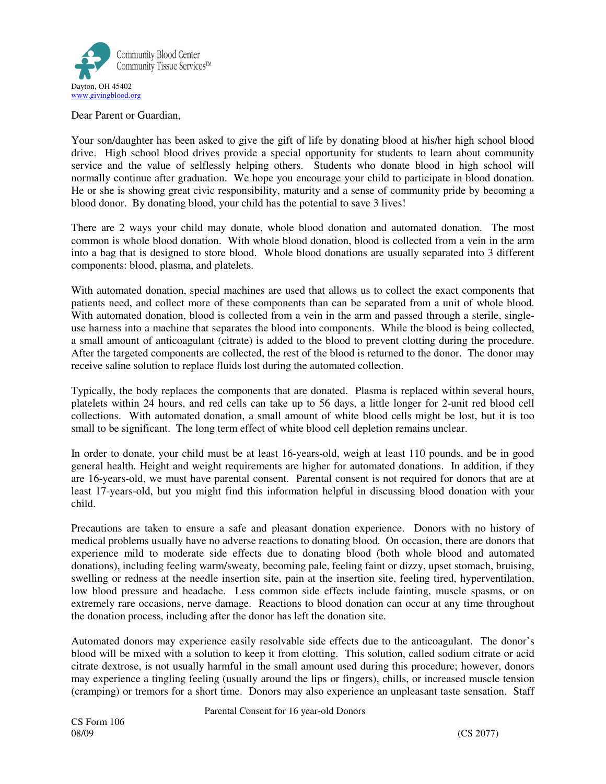

Dear Parent or Guardian,

Your son/daughter has been asked to give the gift of life by donating blood at his/her high school blood drive. High school blood drives provide a special opportunity for students to learn about community service and the value of selflessly helping others. Students who donate blood in high school will normally continue after graduation. We hope you encourage your child to participate in blood donation. He or she is showing great civic responsibility, maturity and a sense of community pride by becoming a blood donor. By donating blood, your child has the potential to save 3 lives!

There are 2 ways your child may donate, whole blood donation and automated donation. The most common is whole blood donation. With whole blood donation, blood is collected from a vein in the arm into a bag that is designed to store blood. Whole blood donations are usually separated into 3 different components: blood, plasma, and platelets.

With automated donation, special machines are used that allows us to collect the exact components that patients need, and collect more of these components than can be separated from a unit of whole blood. With automated donation, blood is collected from a vein in the arm and passed through a sterile, singleuse harness into a machine that separates the blood into components. While the blood is being collected, a small amount of anticoagulant (citrate) is added to the blood to prevent clotting during the procedure. After the targeted components are collected, the rest of the blood is returned to the donor. The donor may receive saline solution to replace fluids lost during the automated collection.

Typically, the body replaces the components that are donated. Plasma is replaced within several hours, platelets within 24 hours, and red cells can take up to 56 days, a little longer for 2-unit red blood cell collections. With automated donation, a small amount of white blood cells might be lost, but it is too small to be significant. The long term effect of white blood cell depletion remains unclear.

In order to donate, your child must be at least 16-years-old, weigh at least 110 pounds, and be in good general health. Height and weight requirements are higher for automated donations. In addition, if they are 16-years-old, we must have parental consent. Parental consent is not required for donors that are at least 17-years-old, but you might find this information helpful in discussing blood donation with your child.

Precautions are taken to ensure a safe and pleasant donation experience. Donors with no history of medical problems usually have no adverse reactions to donating blood. On occasion, there are donors that experience mild to moderate side effects due to donating blood (both whole blood and automated donations), including feeling warm/sweaty, becoming pale, feeling faint or dizzy, upset stomach, bruising, swelling or redness at the needle insertion site, pain at the insertion site, feeling tired, hyperventilation, low blood pressure and headache. Less common side effects include fainting, muscle spasms, or on extremely rare occasions, nerve damage. Reactions to blood donation can occur at any time throughout the donation process, including after the donor has left the donation site.

Automated donors may experience easily resolvable side effects due to the anticoagulant. The donor's blood will be mixed with a solution to keep it from clotting. This solution, called sodium citrate or acid citrate dextrose, is not usually harmful in the small amount used during this procedure; however, donors may experience a tingling feeling (usually around the lips or fingers), chills, or increased muscle tension (cramping) or tremors for a short time. Donors may also experience an unpleasant taste sensation. Staff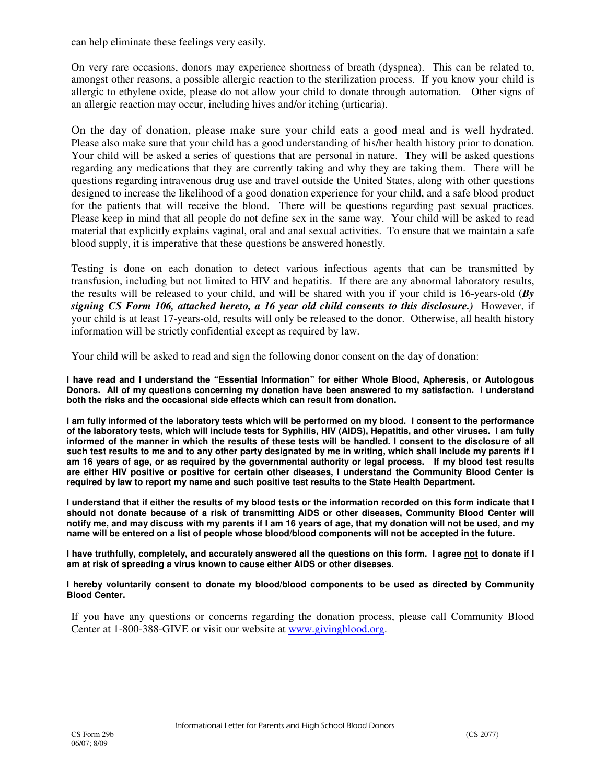can help eliminate these feelings very easily.

On very rare occasions, donors may experience shortness of breath (dyspnea). This can be related to, amongst other reasons, a possible allergic reaction to the sterilization process. If you know your child is allergic to ethylene oxide, please do not allow your child to donate through automation. Other signs of an allergic reaction may occur, including hives and/or itching (urticaria).

On the day of donation, please make sure your child eats a good meal and is well hydrated. Please also make sure that your child has a good understanding of his/her health history prior to donation. Your child will be asked a series of questions that are personal in nature. They will be asked questions regarding any medications that they are currently taking and why they are taking them. There will be questions regarding intravenous drug use and travel outside the United States, along with other questions designed to increase the likelihood of a good donation experience for your child, and a safe blood product for the patients that will receive the blood. There will be questions regarding past sexual practices. Please keep in mind that all people do not define sex in the same way. Your child will be asked to read material that explicitly explains vaginal, oral and anal sexual activities. To ensure that we maintain a safe blood supply, it is imperative that these questions be answered honestly.

Testing is done on each donation to detect various infectious agents that can be transmitted by transfusion, including but not limited to HIV and hepatitis. If there are any abnormal laboratory results, the results will be released to your child, and will be shared with you if your child is 16-years-old **(***By signing CS Form 106, attached hereto, a 16 year old child consents to this disclosure.)* However, if your child is at least 17-years-old, results will only be released to the donor. Otherwise, all health history information will be strictly confidential except as required by law.

Your child will be asked to read and sign the following donor consent on the day of donation:

**I have read and I understand the "Essential Information" for either Whole Blood, Apheresis, or Autologous Donors. All of my questions concerning my donation have been answered to my satisfaction. I understand both the risks and the occasional side effects which can result from donation.** 

**I am fully informed of the laboratory tests which will be performed on my blood. I consent to the performance of the laboratory tests, which will include tests for Syphilis, HIV (AIDS), Hepatitis, and other viruses. I am fully informed of the manner in which the results of these tests will be handled. I consent to the disclosure of all such test results to me and to any other party designated by me in writing, which shall include my parents if I am 16 years of age, or as required by the governmental authority or legal process. If my blood test results are either HIV positive or positive for certain other diseases, I understand the Community Blood Center is required by law to report my name and such positive test results to the State Health Department.** 

**I understand that if either the results of my blood tests or the information recorded on this form indicate that I should not donate because of a risk of transmitting AIDS or other diseases, Community Blood Center will notify me, and may discuss with my parents if I am 16 years of age, that my donation will not be used, and my name will be entered on a list of people whose blood/blood components will not be accepted in the future.** 

**I have truthfully, completely, and accurately answered all the questions on this form. I agree not to donate if I am at risk of spreading a virus known to cause either AIDS or other diseases.** 

**I hereby voluntarily consent to donate my blood/blood components to be used as directed by Community Blood Center.** 

If you have any questions or concerns regarding the donation process, please call Community Blood Center at 1-800-388-GIVE or visit our website at www.givingblood.org.